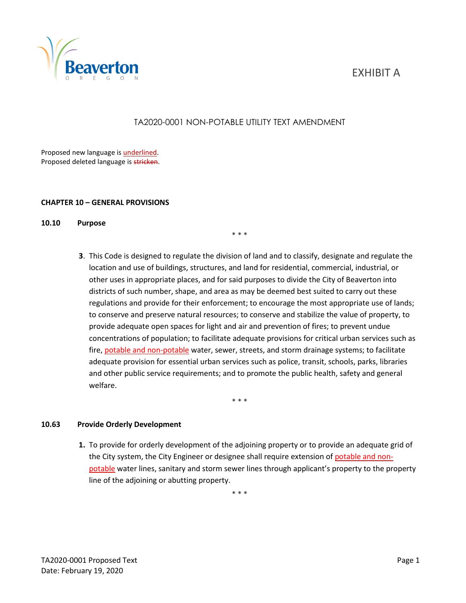# EXHIBIT A



# TA2020-0001 NON-POTABLE UTILITY TEXT AMENDMENT

\* \* \*

Proposed new language is underlined. Proposed deleted language is stricken.

## **CHAPTER 10 – GENERAL PROVISIONS**

# **10.10 Purpose**

**3**. This Code is designed to regulate the division of land and to classify, designate and regulate the location and use of buildings, structures, and land for residential, commercial, industrial, or other uses in appropriate places, and for said purposes to divide the City of Beaverton into districts of such number, shape, and area as may be deemed best suited to carry out these regulations and provide for their enforcement; to encourage the most appropriate use of lands; to conserve and preserve natural resources; to conserve and stabilize the value of property, to provide adequate open spaces for light and air and prevention of fires; to prevent undue concentrations of population; to facilitate adequate provisions for critical urban services such as fire, potable and non-potable water, sewer, streets, and storm drainage systems; to facilitate adequate provision for essential urban services such as police, transit, schools, parks, libraries and other public service requirements; and to promote the public health, safety and general welfare.

\* \* \*

### **10.63 Provide Orderly Development**

**1.** To provide for orderly development of the adjoining property or to provide an adequate grid of the City system, the City Engineer or designee shall require extension of potable and nonpotable water lines, sanitary and storm sewer lines through applicant's property to the property line of the adjoining or abutting property.

\* \* \*